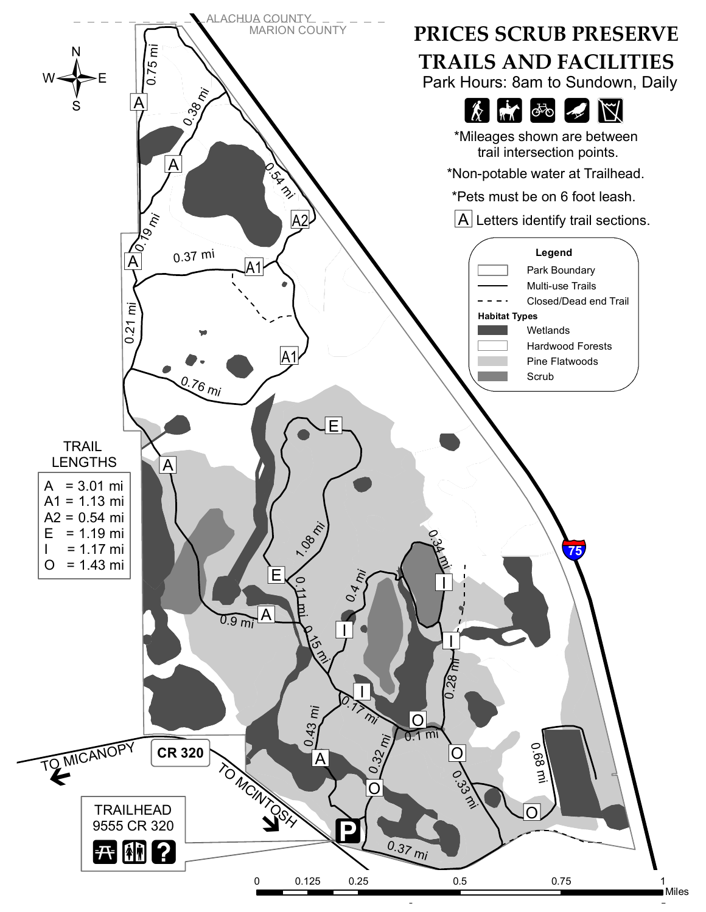